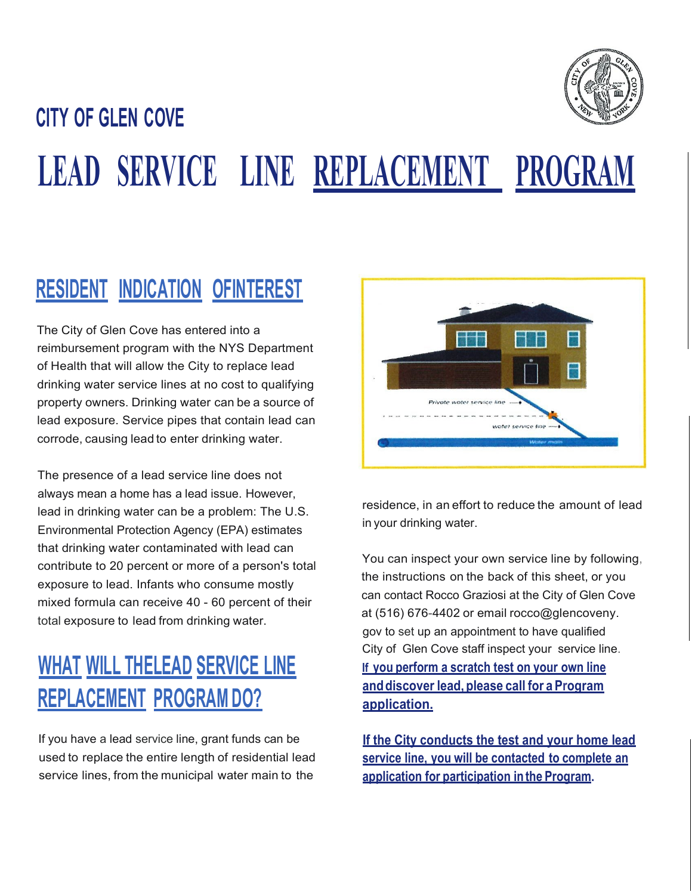

# **CITY OF GLEN COVE LEAD SERVICE LINE REPLACEMENT PROGRAM**

### **RESIDENT INDICATION OFINTEREST**

The City of Glen Cove has entered into a reimbursement program with the NYS Department of Health that will allow the City to replace lead drinking water service lines at no cost to qualifying property owners. Drinking water can be a source of lead exposure. Service pipes that contain lead can corrode, causing lead to enter drinking water.

The presence of a lead service line does not always mean a home has a lead issue. However, lead in drinking water can be a problem: The U.S. Environmental Protection Agency (EPA) estimates that drinking water contaminated with lead can contribute to 20 percent or more of a person's total exposure to lead. Infants who consume mostly mixed formula can receive 40 - 60 percent of their total exposure to lead from drinking water.

## **WHAT WILL THELEAD SERVICE LINE REPLACEMENT PROGRAM DO?**

If you have a lead service line, grant funds can be used to replace the entire length of residential lead service lines, from the municipal water main to the



residence, in an effort to reduce the amount of lead in your drinking water.

You can inspect your own service line by following, the instructions on the back of this sheet, or you can contact Rocco Graziosi at the City of Glen Cove at (516) 676-4402 or email rocco@glencoveny. gov to set up an appointment to have qualified City of Glen Cove staff inspect your service line. **If you perform a scratch test on your own line and discover lead, please call for a Program application.**

**If the City conducts the test and your home lead service line, you will be contacted to complete an application for participation in the Program.**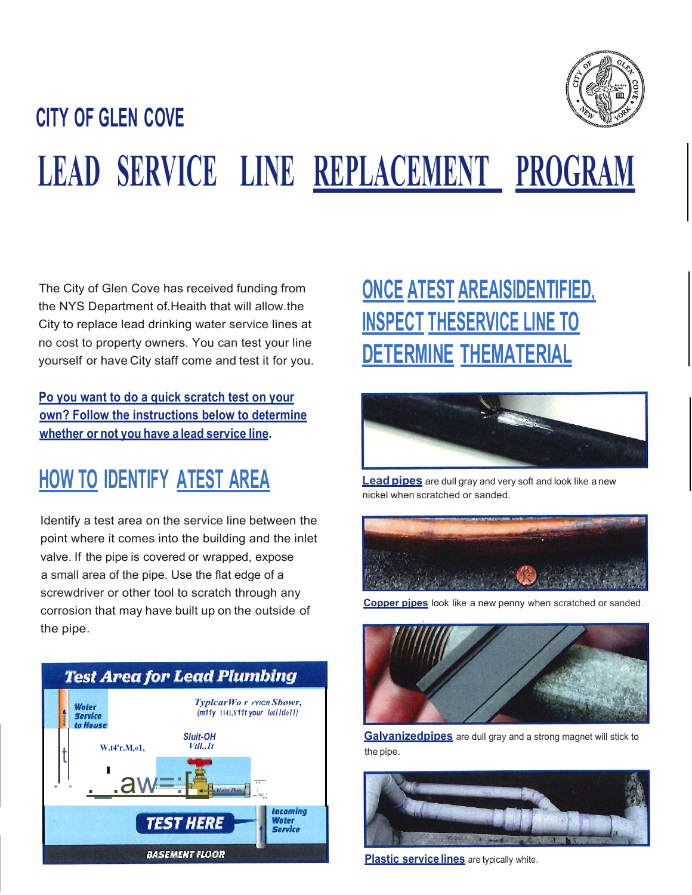

# **CITY OF GLEN COVE LEAD SERVICE LINE REPLACEMENT PROGRAM**

The City of Glen Cove has received funding from the NYS Department of.Heaith that will allow.the City to replace lead drinking water service lines at no cost to property owners. You can test your line yourself or have City staff come and test it for you.

**Po you want to do a quick scratch test on your own? Follow the instructions below to determine whether or not you have a lead service line.**

### **HOW TO IDENTIFY ATEST AREA**

Identify a test area on the service line between the point where it comes into the building and the inlet valve. If the pipe is covered or wrapped, expose a small area of the pipe. Use the flat edge of a screwdriver or other tool to scratch through any corrosion that may have built up on the outside of the pipe.



# **ONCE ATEST AREAISIDENTIFIED, INSPECT THESERVICE LINE TO DETERMINE THEMATERIAL**



**Lead pipes** are dull gray and very soft and look like a new nickel when scratched or sanded.



**Copper pjpes** look like a new penny when scratched or sanded.



**Galvanizedpipes** are dull gray and a strong magnet will stick to the pipe.



**Plastic service lines** are typically white.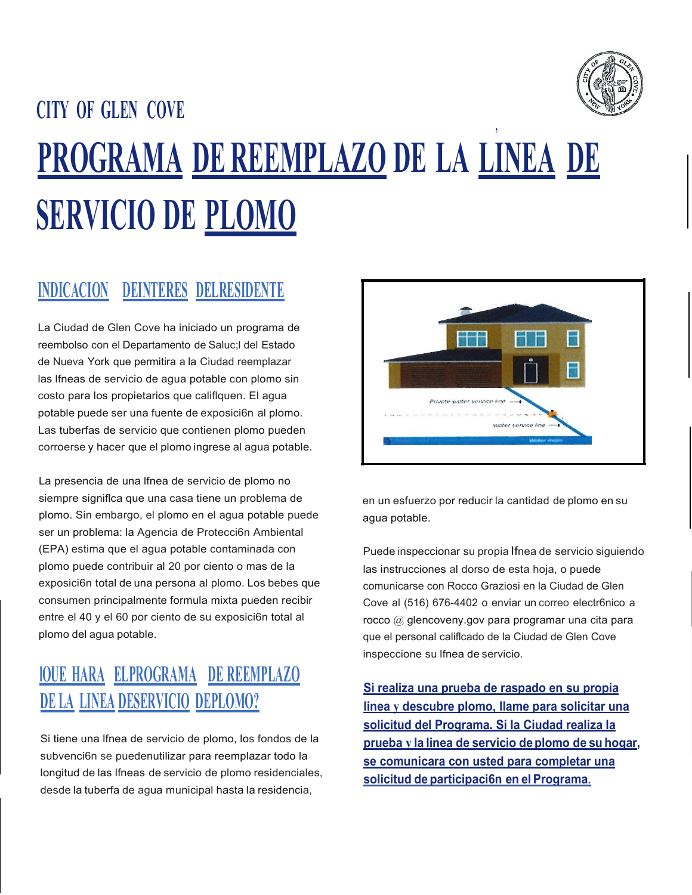

# **CITY OF GLEN COVE** , **PROGRAMA DE REEMPLAZO DE LA LINEA DE SERVICIO DE PLOMO**

#### **INDICACION DEINTERES DELRESIDENTE**

La Ciudad de Glen Cove ha iniciado un programa de reembolso con el Departamento de Saluc;l del Estado de Nueva York que permitira a la Ciudad reemplazar las lfneas de servicio de agua potable con plomo sin costo para los propietarios que califlquen. El agua potable puede ser una fuente de exposici6n al plomo. Las tuberfas de servicio que contienen plomo pueden corroerse y hacer que el plomo ingrese al agua potable.

La presencia de una lfnea de servicio de plomo no siempre signiflca que una casa tiene un problema de plomo. Sin embargo, el plomo en el agua potable puede ser un problema: la Agencia de Protecci6n Ambiental (EPA) estima que el agua potable contaminada con plomo puede contribuir al 20 por ciento o mas de la exposici6n total de una persona al plomo. Los bebes que consumen principalmente formula mixta pueden recibir entre el 40 y el 60 por ciento de su exposici6n total al plomo del agua potable.

#### **lOUE HARA ELPROGRAMA DE REEMPLAZO DE LA LINEA DESERVICIO DEPLOMO?**

Si tiene una lfnea de servicio de plomo, los fondos de la subvenci6n se puedenutilizar para reemplazar todo la longitud de las lfneas de servicio de plomo residenciales, desde la tuberfa de agua municipal hasta la residencia,



en un esfuerzo por reducir la cantidad de plomo en su agua potable.

Puede inspeccionar su propia Ifnea de servicio siguiendo las instrucciones al dorso de esta hoja, o puede comunicarse con Rocco Graziosi en la Ciudad de Glen Cove al (516) 676-4402 o enviar un correo electr6nico a rocco @ glencoveny.gov para programar una cita para que el personal califlcado de la Ciudad de Glen Cove inspeccione su lfnea de servicio.

**Si realiza una prueba de raspado en su propia linea y descubre plomo, llame para solicitar una solicitud del Programa. Si la Ciudad realiza la prueba y la linea de servicio deplomo de su hogar, se comunicara con usted para completar una solicitud de participaci6n en el Programa.**